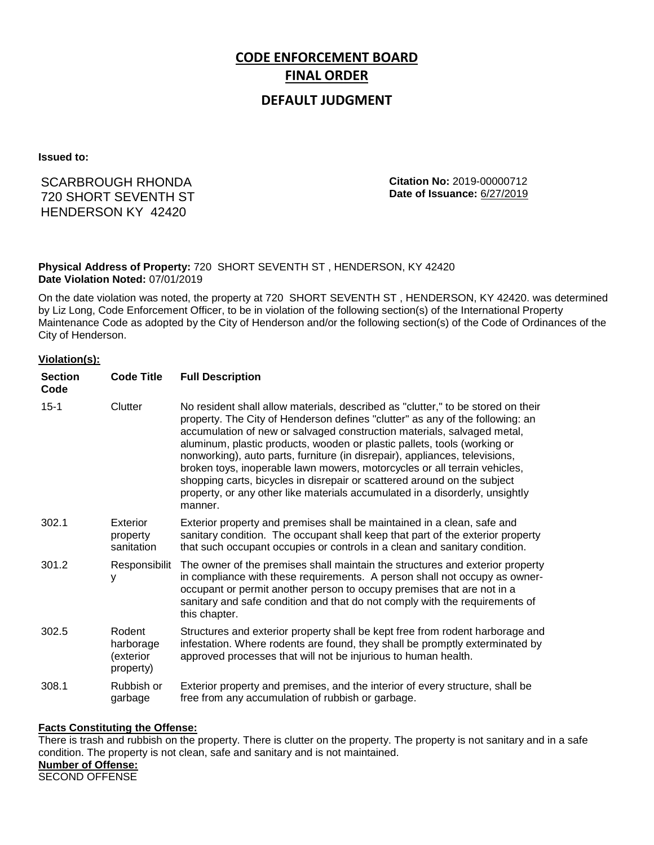# **CODE ENFORCEMENT BOARD FINAL ORDER**

## **DEFAULT JUDGMENT**

**Issued to:**

## SCARBROUGH RHONDA 720 SHORT SEVENTH ST HENDERSON KY 42420

**Citation No:** 2019-00000712 **Date of Issuance:** 6/27/2019

#### **Physical Address of Property:** 720 SHORT SEVENTH ST , HENDERSON, KY 42420 **Date Violation Noted:** 07/01/2019

On the date violation was noted, the property at 720 SHORT SEVENTH ST , HENDERSON, KY 42420. was determined by Liz Long, Code Enforcement Officer, to be in violation of the following section(s) of the International Property Maintenance Code as adopted by the City of Henderson and/or the following section(s) of the Code of Ordinances of the City of Henderson.

#### **Violation(s):**

| <b>Section</b><br>Code | <b>Code Title</b>                             | <b>Full Description</b>                                                                                                                                                                                                                                                                                                                                                                                                                                                                                                                                                                                                                                     |
|------------------------|-----------------------------------------------|-------------------------------------------------------------------------------------------------------------------------------------------------------------------------------------------------------------------------------------------------------------------------------------------------------------------------------------------------------------------------------------------------------------------------------------------------------------------------------------------------------------------------------------------------------------------------------------------------------------------------------------------------------------|
| $15 - 1$               | Clutter                                       | No resident shall allow materials, described as "clutter," to be stored on their<br>property. The City of Henderson defines "clutter" as any of the following: an<br>accumulation of new or salvaged construction materials, salvaged metal,<br>aluminum, plastic products, wooden or plastic pallets, tools (working or<br>nonworking), auto parts, furniture (in disrepair), appliances, televisions,<br>broken toys, inoperable lawn mowers, motorcycles or all terrain vehicles,<br>shopping carts, bicycles in disrepair or scattered around on the subject<br>property, or any other like materials accumulated in a disorderly, unsightly<br>manner. |
| 302.1                  | Exterior<br>property<br>sanitation            | Exterior property and premises shall be maintained in a clean, safe and<br>sanitary condition. The occupant shall keep that part of the exterior property<br>that such occupant occupies or controls in a clean and sanitary condition.                                                                                                                                                                                                                                                                                                                                                                                                                     |
| 301.2                  | Responsibilit<br>у                            | The owner of the premises shall maintain the structures and exterior property<br>in compliance with these requirements. A person shall not occupy as owner-<br>occupant or permit another person to occupy premises that are not in a<br>sanitary and safe condition and that do not comply with the requirements of<br>this chapter.                                                                                                                                                                                                                                                                                                                       |
| 302.5                  | Rodent<br>harborage<br>exterior)<br>property) | Structures and exterior property shall be kept free from rodent harborage and<br>infestation. Where rodents are found, they shall be promptly exterminated by<br>approved processes that will not be injurious to human health.                                                                                                                                                                                                                                                                                                                                                                                                                             |
| 308.1                  | Rubbish or<br>garbage                         | Exterior property and premises, and the interior of every structure, shall be<br>free from any accumulation of rubbish or garbage.                                                                                                                                                                                                                                                                                                                                                                                                                                                                                                                          |

#### **Facts Constituting the Offense:**

There is trash and rubbish on the property. There is clutter on the property. The property is not sanitary and in a safe condition. The property is not clean, safe and sanitary and is not maintained.

**Number of Offense:**

SECOND OFFENSE